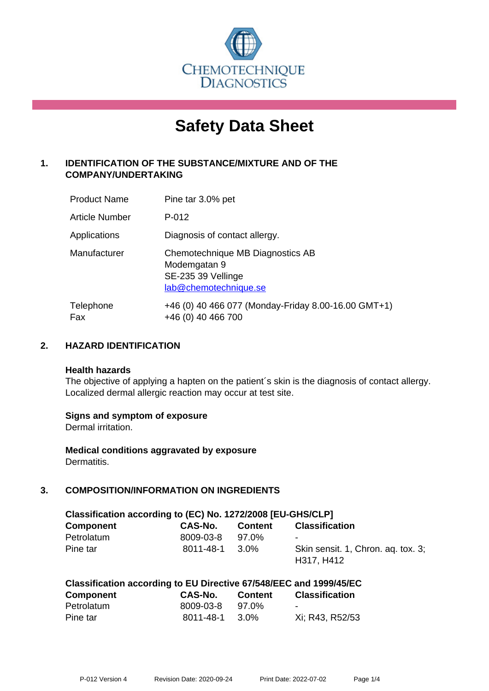

# **Safety Data Sheet**

# **1. IDENTIFICATION OF THE SUBSTANCE/MIXTURE AND OF THE COMPANY/UNDERTAKING**

| <b>Product Name</b>   | Pine tar 3.0% pet                                                                               |
|-----------------------|-------------------------------------------------------------------------------------------------|
| <b>Article Number</b> | P-012                                                                                           |
| Applications          | Diagnosis of contact allergy.                                                                   |
| Manufacturer          | Chemotechnique MB Diagnostics AB<br>Modemgatan 9<br>SE-235 39 Vellinge<br>lab@chemotechnique.se |
| Telephone<br>Fax      | +46 (0) 40 466 077 (Monday-Friday 8.00-16.00 GMT+1)<br>+46 (0) 40 466 700                       |

## **2. HAZARD IDENTIFICATION**

#### **Health hazards**

The objective of applying a hapten on the patient's skin is the diagnosis of contact allergy. Localized dermal allergic reaction may occur at test site.

## **Signs and symptom of exposure**

Dermal irritation.

**Medical conditions aggravated by exposure** Dermatitis.

# **3. COMPOSITION/INFORMATION ON INGREDIENTS**

| Classification according to (EC) No. 1272/2008 [EU-GHS/CLP] |           |         |                                                  |  |  |
|-------------------------------------------------------------|-----------|---------|--------------------------------------------------|--|--|
| <b>Component</b>                                            | CAS-No.   | Content | <b>Classification</b>                            |  |  |
| Petrolatum                                                  | 8009-03-8 | 97.0%   |                                                  |  |  |
| Pine tar                                                    | 8011-48-1 | 3.0%    | Skin sensit. 1, Chron. ag. tox. 3;<br>H317, H412 |  |  |

| Component  | <b>CAS-No.</b> | <b>Content</b> | <b>Classification</b> |
|------------|----------------|----------------|-----------------------|
| Petrolatum | 8009-03-8      | 97.0%          | -                     |
| Pine tar   | 8011-48-1      | 3.0%           | Xi; R43, R52/53       |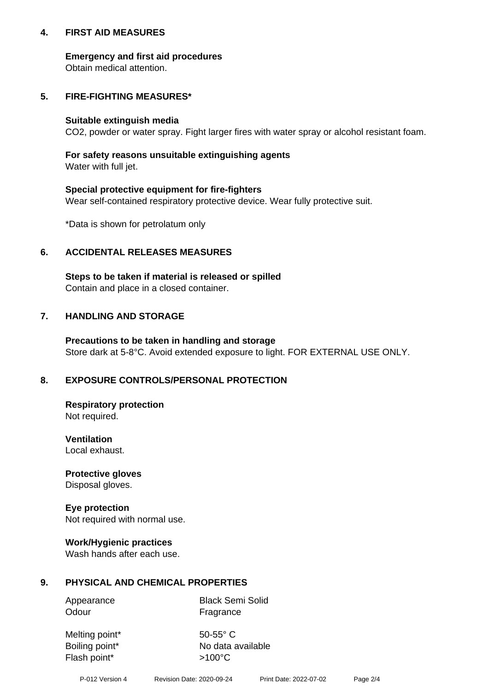## **4. FIRST AID MEASURES**

## **Emergency and first aid procedures**

Obtain medical attention.

# **5. FIRE-FIGHTING MEASURES\***

#### **Suitable extinguish media**

CO2, powder or water spray. Fight larger fires with water spray or alcohol resistant foam.

# **For safety reasons unsuitable extinguishing agents**

Water with full jet.

## **Special protective equipment for fire-fighters**

Wear self-contained respiratory protective device. Wear fully protective suit.

\*Data is shown for petrolatum only

## **6. ACCIDENTAL RELEASES MEASURES**

**Steps to be taken if material is released or spilled** Contain and place in a closed container.

# **7. HANDLING AND STORAGE**

**Precautions to be taken in handling and storage** Store dark at 5-8°C. Avoid extended exposure to light. FOR EXTERNAL USE ONLY.

# **8. EXPOSURE CONTROLS/PERSONAL PROTECTION**

**Respiratory protection** Not required.

**Ventilation** Local exhaust.

**Protective gloves** Disposal gloves.

#### **Eye protection** Not required with normal use.

## **Work/Hygienic practices**

Wash hands after each use.

## **9. PHYSICAL AND CHEMICAL PROPERTIES**

Odour Fragrance

Appearance Black Semi Solid

Melting point\* 50-55° C Flash point\*  $>100^{\circ}$ C

Boiling point\* No data available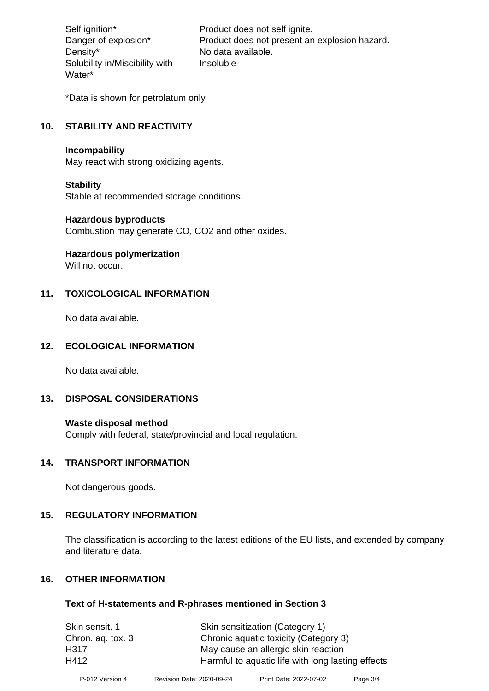Density\* No data available. Solubility in/Miscibility with Water\*

Self ignition\* Product does not self ignite. Danger of explosion\* Product does not present an explosion hazard. Insoluble

\*Data is shown for petrolatum only

# **10. STABILITY AND REACTIVITY**

#### **Incompability**

May react with strong oxidizing agents.

#### **Stability**

Stable at recommended storage conditions.

#### **Hazardous byproducts**

Combustion may generate CO, CO2 and other oxides.

**Hazardous polymerization**

Will not occur.

## **11. TOXICOLOGICAL INFORMATION**

No data available.

## **12. ECOLOGICAL INFORMATION**

No data available.

## **13. DISPOSAL CONSIDERATIONS**

#### **Waste disposal method**

Comply with federal, state/provincial and local regulation.

#### **14. TRANSPORT INFORMATION**

Not dangerous goods.

## **15. REGULATORY INFORMATION**

The classification is according to the latest editions of the EU lists, and extended by company and literature data.

#### **16. OTHER INFORMATION**

#### **Text of H-statements and R-phrases mentioned in Section 3**

| Skin sensitization (Category 1)                   |
|---------------------------------------------------|
| Chronic aquatic toxicity (Category 3)             |
| May cause an allergic skin reaction               |
| Harmful to aquatic life with long lasting effects |
|                                                   |